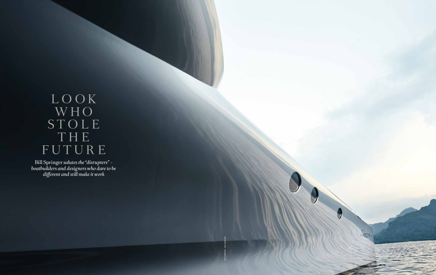# LOOK W H O STOLE T H E FUTURE

Bill Springer *salutes the "disrupters" – boatbuilders and designers who dare to be different and still make it work* 



PHOTOGRAPH: JOCHEN MANZ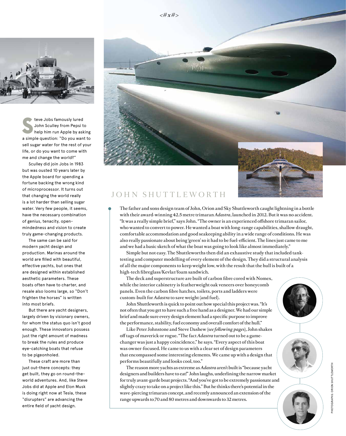

**S** a simple question: "Do you want to teve Jobs famously lured John Sculley from Pepsi to help him run Apple by asking sell sugar water for the rest of your life, or do you want to come with me and change the world?"

Sculley did join Jobs in 1983 but was ousted 10 years later by the Apple board for spending a fortune backing the wrong kind of microprocessor. It turns out that changing the world really is a lot harder than selling sugar water. Very few people, it seems, have the necessary combination of genius, tenacity, openmindedness and vision to create truly game-changing products.

The same can be said for modern yacht design and production. Marinas around the world are filled with beautiful, effective yachts, but ones that are designed within established aesthetic parameters. These boats often have to charter, and resale also looms large, so "Don't frighten the horses" is written into most briefs.

But there are yacht designers, largely driven by visionary owners, for whom the status quo isn't good enough. These innovators possess just the right amount of madness to break the rules and produce eye-catching boats that refuse to be pigeonholed.

These craft are more than just out-there concepts: they get built, they go on round-theworld adventures. And, like Steve Jobs did at Apple and Elon Musk is doing right now at Tesla, these "disrupters" are advancing the entire field of yacht design.

## JOHN SHUTTLEWORTH

The father and sons design team of John, Orion and Sky Shuttleworth caught lightning in a bottle with their award-winning 42.5 metre trimaran *Adastra*, launched in 2012. But it was no accident. "It was a really simple brief," says John. "The owner is an experienced offshore trimaran sailor, who wanted to convert to power. He wanted a boat with long-range capabilities, shallow draught, comfortable accommodation and good seakeeping ability in a wide range of conditions. He was also really passionate about being 'green' so it had to be fuel-efficient. The lines just came to me and we had a basic sketch of what the boat was going to look like almost immediately."

Simple but not easy. The Shuttleworths then did an exhaustive study that included tanktesting and computer modelling of every element of the design. They did a structural analysis of all the major components to keep weight low, with the result that the hull is built of a high-tech fibreglass/Kevlar/foam sandwich.

The deck and superstructure are built of carbon fibre cored with Nomex, while the interior cabinetry is featherweight oak veneers over honeycomb panels. Even the carbon fibre hatches, toilets, ports and ladders were custom-built for *Adastra* to save weight (and fuel).

John Shuttleworth is quick to point out how special this project was. "It's not often that you get to have such a free hand as a designer. We had our simple brief and made sure every design element had a specific purpose to improve the performance, stability, fuel economy and overall comfort of the hull."

Like Peter Johnstone and Steve Dashew (*see following pages*), John shakes off tags of maverick or rogue. "The fact *Adastra* turned out to be a gamechanger was just a happy coincidence," he says. "Every aspect of this boat was owner-focused. He came to us with a clear set of design parameters that encompassed some interesting elements. We came up with a design that performs beautifully and looks cool, too."

The reason more yachts as extreme as *Adastra* aren't built is "because yacht designers and builders have to eat!" John laughs, underlining the narrow market for truly avant-garde boat projects. "And you've got to be extremely passionate and slightly crazy to take on a project like this." But he thinks there's potential in the wave-piercing trimaran concept, and recently announced an extension of the range upwards to 70 and 80 metres and downwards to 32 metres.





PHOTOGRAPHS: ORION SHUTTLEWORTH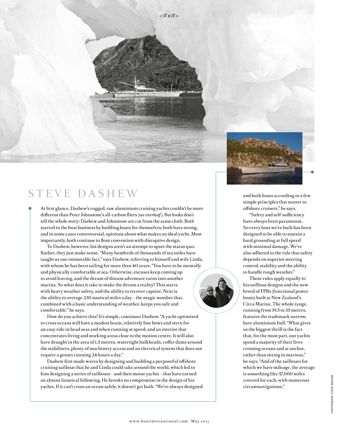



## STEVE DA SHEW

At first glance, Dashew's rugged, raw aluminium cruising yachts couldn't be more different than Peter Johnstone's all-carbon fliers (*see overleaf*). But looks don't tell the whole story: Dashew and Johnstone are cut from the same cloth. Both started in the boat business by building boats for themselves; both have strong, and in some cases controversial, opinions about what makes an ideal yacht. Most importantly, both continue to flout convention with disruptive design.

To Dashew, however, his designs aren't an attempt to upset the status quo. Rather, they just make sense. "Many hundreds of thousands of sea miles have taught us one immutable fact," says Dashew, referring to himself and wife Linda, with whom he has been sailing for more than 40 years. "You have to be mentally and physically comfortable at sea. Otherwise, excuses keep coming up to avoid leaving, and the dream of distant adventure turns into another marina. So what does it take to make the dream a reality? This starts with heavy weather safety, and the ability to recover capsize. Next is the ability to average 230 nautical miles a day – the magic number that, combined with a basic understanding of weather, keeps you safe and comfortable," he says.

How do you achieve this? It's simple, continues Dashew. "A yacht optimised to cross oceans will have a modest beam, relatively fine bows and stern for an easy ride in head seas and when running at speed, and an interior that concentrates living and working areas close to the motion centre. It will also have draught in the area of 1.5 metres, watertight bulkheads, coffer dams around the stabilisers, plenty of machinery access and an electrical system that does not require a genset running 24 hours a day."

Dashew first made waves by designing and building a purposeful offshore cruising sailboat that he and Linda could take around the world, which led to him designing a series of sailboats – and then motor yachts – that have earned an almost fanatical following. He brooks no compromise in the design of his yachts. If it can't cross an ocean safely, it doesn't get built. "We've always designed and built boats according to a few simple principles that matter to offshore cruisers," he says.

"Safety and self-sufficiency have always been paramount. So every boat we've built has been designed to be able to sustain a hard grounding at full speed with minimal damage. We've also adhered to the rule that safety depends on superior steering control, stability and the ability to handle rough weather."

These rules apply equally to his sailboat designs and the new breed of FPBs (functional power boats) built at New Zealand's Circa Marine. The whole range, running from 19.5 to 35 metres, features the trademark narrow, bare aluminium hull. "What gives us the biggest thrill is the fact that, for the most part, our yachts spend a majority of their lives crossing oceans and at anchor, rather than sitting in marinas," he says. "And of the sailboats for which we have mileage, the average is something like 57,000 miles covered for each, with numerous circumnavigations."